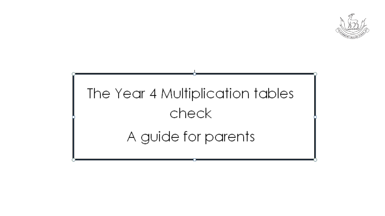

# The Year 4 Multiplication tables check A guide for parents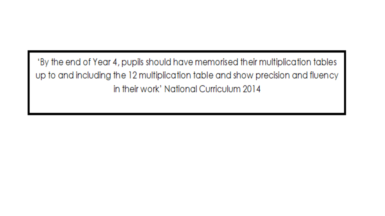'By the end of Year 4, pupils should have memorised their multiplication tables up to and including the 12 multiplication table and show precision and fluency in their work' National Curriculum 2014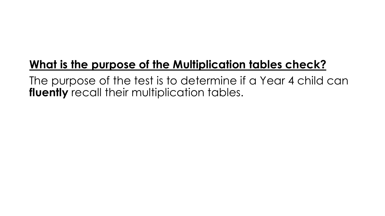## **What is the purpose of the Multiplication tables check?**

The purpose of the test is to determine if a Year 4 child can **fluently** recall their multiplication tables.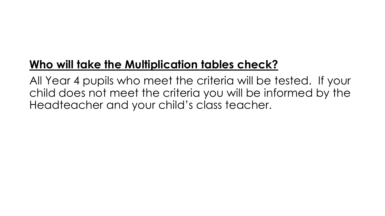## **Who will take the Multiplication tables check?**

All Year 4 pupils who meet the criteria will be tested. If your child does not meet the criteria you will be informed by the Headteacher and your child's class teacher.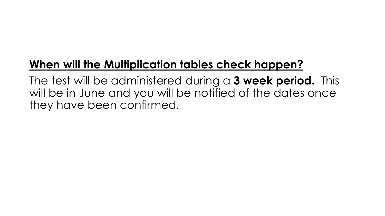## **When will the Multiplication tables check happen?**

The test will be administered during a **3 week period.** This will be in June and you will be notified of the dates once they have been confirmed.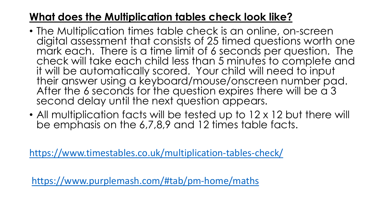#### **What does the Multiplication tables check look like?**

- The Multiplication times table check is an online, on-screen digital assessment that consists of 25 timed questions worth one mark each. There is a time limit of 6 seconds per question. The check will take each child less than 5 minutes to complete and it will be automatically scored. Your child will need to input their answer using a keyboard/mouse/onscreen number pad. After the 6 seconds for the question expires there will be a 3 second delay until the next question appears.
- All multiplication facts will be tested up to 12 x 12 but there will be emphasis on the 6,7,8,9 and 12 times table facts.

<https://www.timestables.co.uk/multiplication-tables-check/>

<https://www.purplemash.com/#tab/pm-home/maths>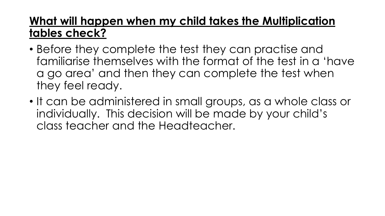### **What will happen when my child takes the Multiplication tables check?**

- Before they complete the test they can practise and familiarise themselves with the format of the test in a 'have a go area' and then they can complete the test when they feel ready.
- It can be administered in small groups, as a whole class or individually. This decision will be made by your child's class teacher and the Headteacher.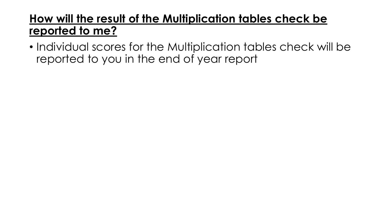#### **How will the result of the Multiplication tables check be reported to me?**

• Individual scores for the Multiplication tables check will be reported to you in the end of year report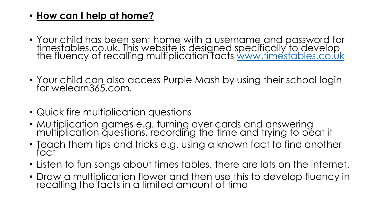#### • **How can I help at home?**

- Your child has been sent home with a username and password for timestables.co.uk. This website is designed specifically to develop the fluency of recalling multiplication facts [www.timestables.co.uk](http://www.timestables.co.uk/)
- Your child can also access Purple Mash by using their school login for welearn365.com.
- Quick fire multiplication questions
- Multiplication games e.g. turning over cards and answering multiplication questions, recording the time and trying to beat it
- Teach them tips and tricks e.g. using a known fact to find another fact
- Listen to fun songs about times tables, there are lots on the internet.
- Draw a multiplication flower and then use this to develop fluency in recalling the facts in a limited amount of time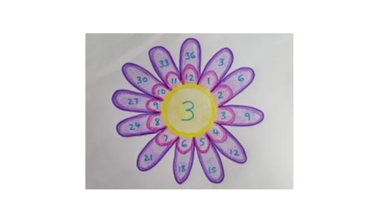